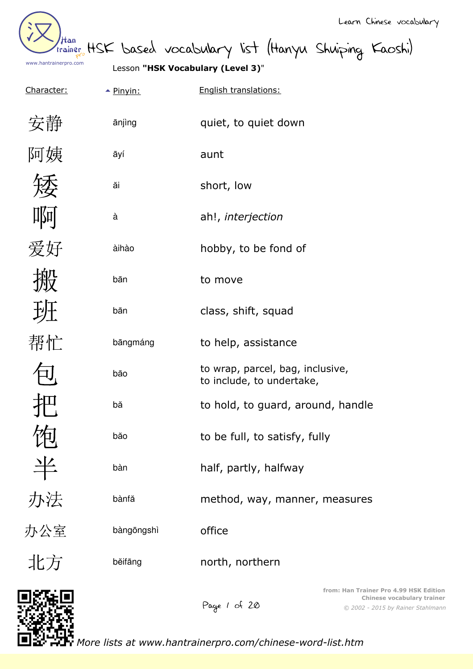| /tan<br>trainer       |  |
|-----------------------|--|
| www.hantrainerpro.com |  |

HSK based vocabulary list (Hanyu Shuiping Kaoshi)

English translations:

quiet, to quiet down

to help, assistance

class, shift, squad

hobby, to be fond of

à ah!, *interjection*

to wrap, parcel, bag, inclusive,

to hold, to guard, around, handle

method, way, manner, measures

to include, to undertake,

to be full, to satisfy, fully

half, partly, halfway

Lesson **"HSK Vocabulary (Level 3)**"

aunt

short, low

to move

| <u>Character:</u>       |            |
|-------------------------|------------|
| 安静                      | ānjìng     |
| 阿姨                      | āyí        |
| 矮                       | ăi         |
| 啊                       | à          |
| 爱好                      | àihào      |
| 搬                       | bān        |
| 班                       | bān        |
| 帮忙                      | bāngmáng   |
| $\overline{\mathsf{L}}$ | bāo        |
| 巴                       | bă         |
| 炻<br>レビ                 | băo        |
| 半                       | bàn        |
| 办法                      | bànfă      |
| 办公室                     | bàngōngshì |
| 北方                      | běifāng    |

north, northern

Page 1 of 20



*More lists at www.hantrainerpro.com/chinese-word-list.htm*

office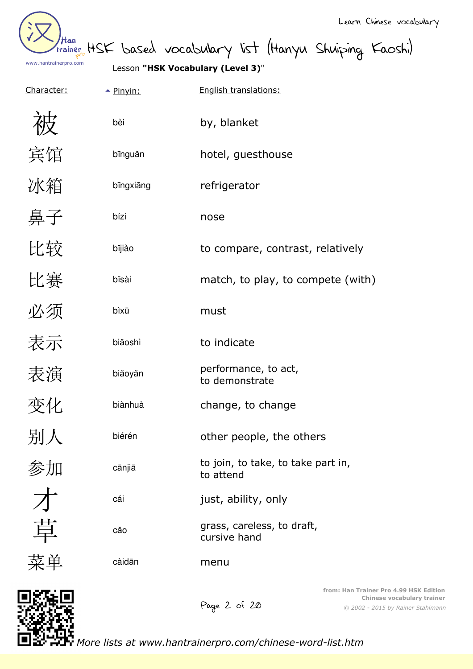| /tan<br>trainer       |  |
|-----------------------|--|
| www.hantrainerpro.com |  |

HSK based vocabulary list (Hanyu Shuiping Kaoshi)

Lesson **"HSK Vocabulary (Level 3)**"

| Character: | $\triangle$ Pinyin: | English translations:                           |  |
|------------|---------------------|-------------------------------------------------|--|
|            | bèi                 | by, blanket                                     |  |
| 宾馆         | bīnguăn             | hotel, guesthouse                               |  |
| 冰箱         | bīngxiāng           | refrigerator                                    |  |
| 鼻子         | bízi                | nose                                            |  |
| 比较         | bĭjiào              | to compare, contrast, relatively                |  |
| 比赛         | bĭsài               | match, to play, to compete (with)               |  |
| 必须         | bìxū                | must                                            |  |
| 表示         | biăoshì             | to indicate                                     |  |
| 表演         | biăoyăn             | performance, to act,<br>to demonstrate          |  |
| 变化         | biànhuà             | change, to change                               |  |
| 别人         | biérén              | other people, the others                        |  |
| 参加         | cānjiā              | to join, to take, to take part in,<br>to attend |  |
|            | cái                 | just, ability, only                             |  |
| 草          | căo                 | grass, careless, to draft,<br>cursive hand      |  |
| 菜单         | càidān              | menu                                            |  |
|            |                     |                                                 |  |



Page 2 of 20

*© 2002 - 2015 by Rainer Stahlmann* **from: Han Trainer Pro 4.99 HSK Edition Chinese vocabulary trainer**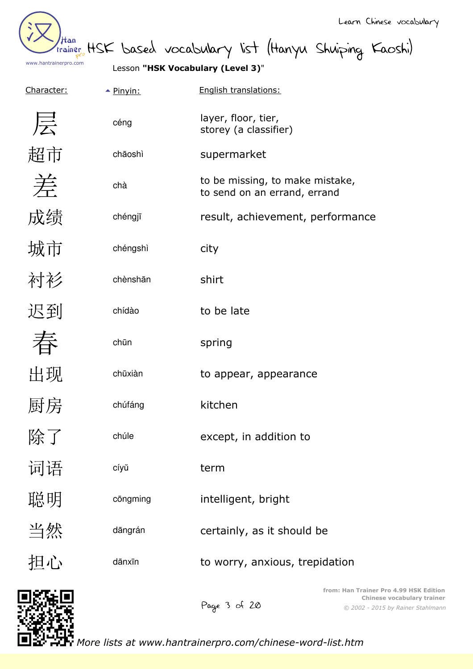

than HSK based vocabulary list (Hanyu Shuiping Kaoshi)

Lesson **"HSK Vocabulary (Level 3)**"

| Character: | $\triangle$ Pinyin: | English translations:                                           |
|------------|---------------------|-----------------------------------------------------------------|
| 层          | céng                | layer, floor, tier,<br>storey (a classifier)                    |
| 超市         | chāoshì             | supermarket                                                     |
| 差          | chà                 | to be missing, to make mistake,<br>to send on an errand, errand |
| 成绩         | chéngjī             | result, achievement, performance                                |
| 城市         | chéngshì            | city                                                            |
| 衬衫         | chènshān            | shirt                                                           |
| 迟到         | chídào              | to be late                                                      |
|            | chūn                | spring                                                          |
| 出现         | chūxiàn             | to appear, appearance                                           |
| 厨房         | chúfáng             | kitchen                                                         |
| 除了         | chúle               | except, in addition to                                          |
| 词语         | cíyŭ                | term                                                            |
| 聪明         | cōngming            | intelligent, bright                                             |
| 当然         | dāngrán             | certainly, as it should be                                      |
| 担心         | dānxīn              | to worry, anxious, trepidation                                  |
| 1975 FI    |                     | from: Han Trainer Pro                                           |

Page 3 of 20

*© 2002 - 2015 by Rainer Stahlmann* **f** 4.99 HSK Edition **Chinese vocabulary trainer**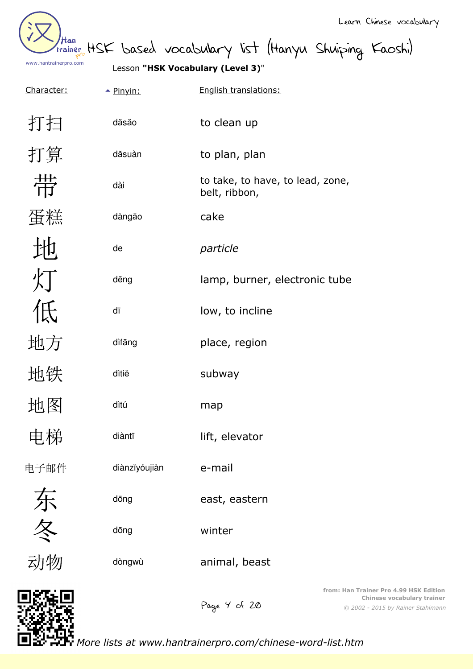Han www.hantrainerpro.com

Lesson **"HSK Vocabulary (Level 3)**"

| Character: | $\triangle$ Pinyin: | English translations:                             |
|------------|---------------------|---------------------------------------------------|
| 打扫         | dăsăo               | to clean up                                       |
| 打算         | dăsuàn              | to plan, plan                                     |
| 带          | dài                 | to take, to have, to lead, zone,<br>belt, ribbon, |
| 蛋糕         | dàngāo              | cake                                              |
|            | de                  | particle                                          |
| 灯          | dēng                | lamp, burner, electronic tube                     |
| 低          | dī                  | low, to incline                                   |
| 地方         | dìfāng              | place, region                                     |
| 地铁         | dìtiĕ               | subway                                            |
| 地图         | dìtú                | map                                               |
| 电梯         | diàntī              | lift, elevator                                    |
| 电子邮件       | diànzĭyóujiàn       | e-mail                                            |
|            | dōng                | east, eastern                                     |
| 东冬         | dōng                | winter                                            |
| 动物         | dòngwù              | animal, beast                                     |
| 医强同        |                     | from: Han Trainer Pro<br>Chinese vo               |

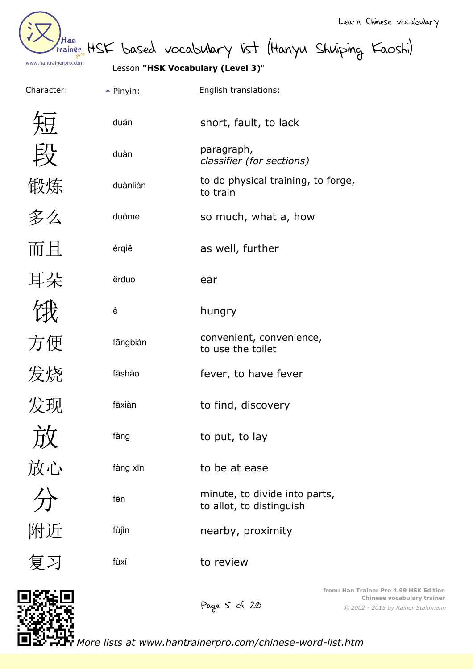

than HSK based vocabulary list (Hanyu Shuiping Kaoshi)

Lesson **"HSK Vocabulary (Level 3)**"

| <u>Character:</u> | $\triangle$ Pinyin: | English translations:                                     |
|-------------------|---------------------|-----------------------------------------------------------|
| 短                 | duăn                | short, fault, to lack                                     |
| 段                 | duàn                | paragraph,<br>classifier (for sections)                   |
| 锻炼                | duànliàn            | to do physical training, to forge,<br>to train            |
| 多么                | duōme               | so much, what a, how                                      |
| 而且                | érqiĕ               | as well, further                                          |
| 耳朵                | ěrduo               | ear                                                       |
|                   | è                   | hungry                                                    |
| 方便                | fāngbiàn            | convenient, convenience,<br>to use the toilet             |
| 发烧                | fāshāo              | fever, to have fever                                      |
| 发现                | fāxiàn              | to find, discovery                                        |
| 亡ん                | fàng                | to put, to lay                                            |
|                   | fàng xīn            | to be at ease                                             |
| 灰<br>放心<br>分      | fēn                 | minute, to divide into parts,<br>to allot, to distinguish |
| 附近                | fùjìn               | nearby, proximity                                         |
| 复习                | fùxí                | to review                                                 |
|                   |                     |                                                           |



*© 2002 - 2015 by Rainer Stahlmann* **from: Han Trainer Pro 4.99 HSK Edition Chinese vocabulary trainer**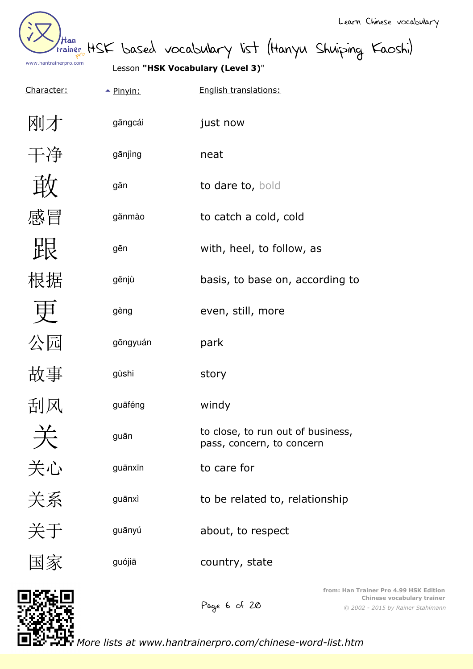

Lesson **"HSK Vocabulary (Level 3)**"

| <u>Character:</u>   | $\triangle$ Pinyin: | English translations:                                          |
|---------------------|---------------------|----------------------------------------------------------------|
| 刚才                  | gāngcái             | just now                                                       |
| 干净                  | gānjìng             | neat                                                           |
| 敢                   | găn                 | to dare to, bold                                               |
| 感冒                  | gănmào              | to catch a cold, cold                                          |
| 跟                   | gēn                 | with, heel, to follow, as                                      |
| 根据                  | gēnjù               | basis, to base on, according to                                |
| 申                   | gèng                | even, still, more                                              |
| 公园                  | gōngyuán            | park                                                           |
| 故事                  | gùshi               | story                                                          |
| 刮风                  | guāféng             | windy                                                          |
| $\Rightarrow$<br>ノヽ | guān                | to close, to run out of business,<br>pass, concern, to concern |
| 关心                  | guānxīn             | to care for                                                    |
| 关系                  | guānxì              | to be related to, relationship                                 |
| 关于                  | guānyú              | about, to respect                                              |
| 国家                  | guójiā              | country, state                                                 |
| 怒葉回                 |                     | from: Han Ti                                                   |



Page 6 of 20

*© 2002 - 2015 by Rainer Stahlmann* **frainer Pro 4.99 HSK Edition Chinese vocabulary trainer**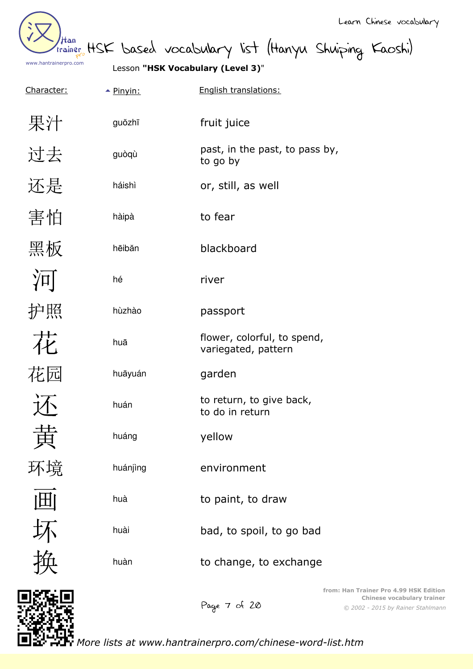| /tan<br>trainer       |  |
|-----------------------|--|
| www.hantrainerpro.com |  |

HSK based vocabulary list (Hanyu Shuiping Kaoshi)

| <u>Character:</u> | $\triangle$ Pinyin: | English translations:                              |
|-------------------|---------------------|----------------------------------------------------|
| 果汁                | guŏzhī              | fruit juice                                        |
| 过去                | guòqù               | past, in the past, to pass by,<br>to go by         |
| 还是                | háishì              | or, still, as well                                 |
| 害怕                | hàipà               | to fear                                            |
| 黑板                | hēibăn              | blackboard                                         |
| $\sqrt{ \Pi }$    | hé                  | river                                              |
| 护照                | hùzhào              | passport                                           |
| 花                 | huā                 | flower, colorful, to spend,<br>variegated, pattern |
| 花园                | huāyuán             | garden                                             |
|                   | huán                | to return, to give back,<br>to do in return        |
|                   | huáng               | yellow                                             |
|                   | huánjìng            | environment                                        |
|                   | huà                 | to paint, to draw                                  |
|                   | huài                | bad, to spoil, to go bad                           |
|                   | huàn                | to change, to exchange                             |
|                   |                     | from: Har                                          |



*© 2002 - 2015 by Rainer Stahlmann* **from: Han Trainer Pro 4.99 HSK Edition Chinese vocabulary trainer**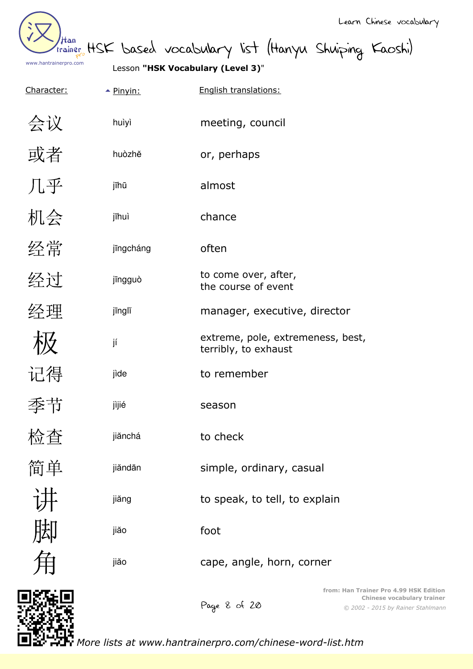

Than HSK based vocabulary list (Hanyu Shuiping Kaoshi)

Lesson **"HSK Vocabulary (Level 3)**"

| Character: | $\triangle$ Pinyin: | English translations:                                     |
|------------|---------------------|-----------------------------------------------------------|
| 会议         | huìyì               | meeting, council                                          |
| 或者         | huòzhĕ              | or, perhaps                                               |
| 几乎         | jīhū                | almost                                                    |
| 机会         | jīhuì               | chance                                                    |
| 经常         | jīngcháng           | often                                                     |
| 经过         | jīngguò             | to come over, after,<br>the course of event               |
| 经理         | jīnglĭ              | manager, executive, director                              |
| 极          | jí                  | extreme, pole, extremeness, best,<br>terribly, to exhaust |
| 记得         | jìde                | to remember                                               |
| 季节         | jìjié               | season                                                    |
| 检查         | jiănchá             | to check                                                  |
| 简单         | jiăndān             | simple, ordinary, casual                                  |
|            | jiăng               | to speak, to tell, to explain                             |
|            | jiăo                | foot                                                      |
|            | jiăo                | cape, angle, horn, corner                                 |
|            |                     | from: Han Trainer Pro 4.99<br>Chinese vocab<br>しっぷ        |

Page 8 of 20

*© 2002 - 2015 by Rainer Stahlmann* **firm: HSK Edition Chines** vocations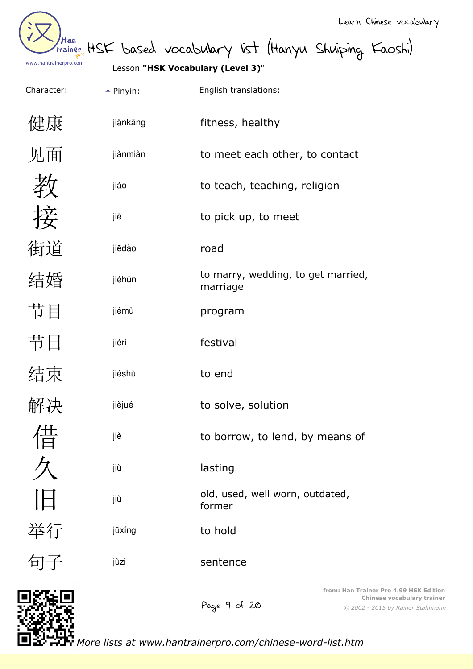

trainer HSK based vocabulary list (Hanyu Shuiping Kaoshi)

| Character: | $\triangle$ Pinvin: | English translations: |
|------------|---------------------|-----------------------|
|------------|---------------------|-----------------------|

| 健康 | jiànkāng |
|----|----------|
| 见面 | jiànmiàn |
| 教  | jiào     |
| 接  | jiē      |
| 街道 | jiēdào   |
| 结婚 | jiéhūn   |
| 节目 | jiémù    |
| 节日 | jiérì    |
| 结束 | jiéshù   |
| 解决 | jiĕjué   |
| 借  | jiè      |
|    | jiŭ      |
| IЕ | jiù      |
| 举行 | jŭxíng   |
|    |          |

| jiànkāng | fitness, healthy                               |
|----------|------------------------------------------------|
| jiànmiàn | to meet each other, to contact                 |
| jiào     | to teach, teaching, religion                   |
| jiē      | to pick up, to meet                            |
| jiēdào   | road                                           |
| jiéhūn   | to marry, wedding, to get married,<br>marriage |
| jiémù    | program                                        |
| jiérì    | festival                                       |
| jiéshù   | to end                                         |
| jiějué   | to solve, solution                             |
| jiè      | to borrow, to lend, by means of                |
| jiŭ      | lasting                                        |
| jiù      | old, used, well worn, outdated,<br>former      |
| jŭxíng   | to hold                                        |
| jùzi     | sentence                                       |
|          | from: Han Trainer P<br>Chines                  |



句子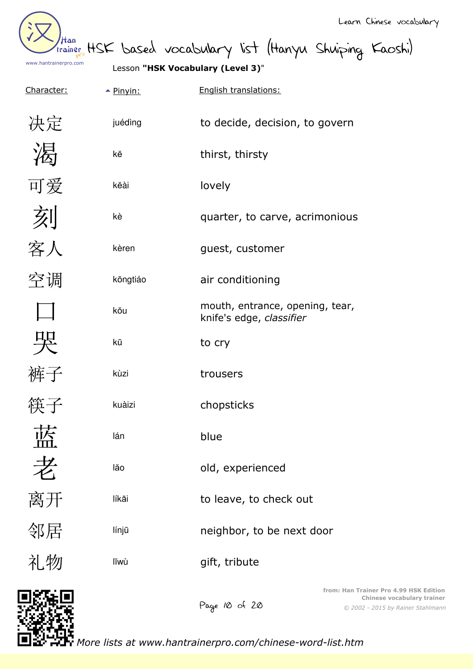| /tan<br>trainer       |  |
|-----------------------|--|
| www.hantrainerpro.com |  |

HSK based vocabulary list (Hanyu Shuiping Kaoshi)

| C<br>۱a<br><u>racter:</u> |
|---------------------------|
| 决定                        |
| 渴                         |
| 可爱                        |
| 刻                         |
| 客人                        |
| 空调                        |
| $\Box$                    |
| 哭                         |
| 裤子                        |
| 筷子                        |
| 蓝                         |
| 老                         |
| 离开                        |
| 邻居                        |
| 礼物                        |

|            |                     | Lesson "HSK Vocabulary (Level 3)"                           |
|------------|---------------------|-------------------------------------------------------------|
| Character: | $\triangle$ Pinyin: | English translations:                                       |
| 决定         | juédìng             | to decide, decision, to govern                              |
|            | kĕ                  | thirst, thirsty                                             |
| 可爱         | kĕài                | lovely                                                      |
| 刻客人        | kè                  | quarter, to carve, acrimonious                              |
|            | kèren               | guest, customer                                             |
| 空调         | kōngtiáo            | air conditioning                                            |
|            | kŏu                 | mouth, entrance, opening, tear,<br>knife's edge, classifier |
| 哭          | kū                  | to cry                                                      |
| 裤子         | kùzi                | trousers                                                    |
|            | kuàizi              | chopsticks                                                  |
|            | lán                 | blue                                                        |
| 老离开        | lăo                 | old, experienced                                            |
|            | líkāi               | to leave, to check out                                      |
| 邻居         | línjū               | neighbor, to be next door                                   |
| 礼物         | lĭwù                | gift, tribute                                               |
|            |                     | from: Han Trainer Pro<br>Chinese y                          |



*© 2002 - 2015 by Rainer Stahlmann* **fom: 4.99 HSK Edition vocabulary trainer**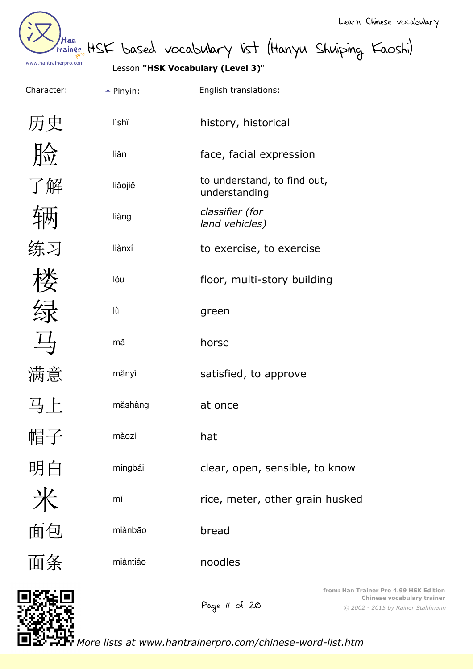

Learn Chinese vocabulary

than HSK based vocabulary list (Hanyu Shuiping Kaoshi)

Lesson **"HSK Vocabulary (Level 3)**"

| Character:                                  | $\triangle$ Pinyin: | English translations:                        |
|---------------------------------------------|---------------------|----------------------------------------------|
| 历史                                          | lìshĭ               | history, historical                          |
| 脸                                           | liăn                | face, facial expression                      |
| 了解                                          | liăojiě             | to understand, to find out,<br>understanding |
|                                             | liàng               | classifier (for<br>land vehicles)            |
| 练习                                          | liànxí              | to exercise, to exercise                     |
|                                             | lóu                 | floor, multi-story building                  |
| 绿                                           | lù                  | green                                        |
| 马                                           | mă                  | horse                                        |
| 满意                                          | mănyì               | satisfied, to approve                        |
| $\frac{11}{2}$ $\left  \frac{1}{2} \right $ | măshàng             | at once                                      |
| 帽子                                          | màozi               | hat                                          |
| 明白                                          | míngbái             | clear, open, sensible, to know               |
| 米                                           | mĭ                  | rice, meter, other grain husked              |
| 面包                                          | miànbāo             | bread                                        |
| 面条                                          | miàntiáo            | noodles                                      |
| 18320                                       |                     | from: Han Trainer I<br>Chines                |



*© 2002 - 2015 by Rainer Stahlmann* **Pro 4.99 HSK Edition Chinese vocabulary trainer**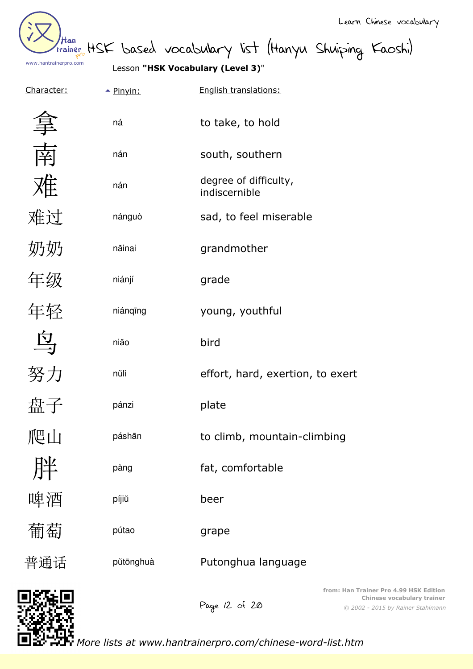

than HSK based vocabulary list (Hanyu Shuiping Kaoshi)

Lesson **"HSK Vocabulary (Level 3)**"

| Character: | $\triangle$ Pinyin: | English translations:                  |
|------------|---------------------|----------------------------------------|
|            | ná                  | to take, to hold                       |
| 南          | nán                 | south, southern                        |
| 难          | nán                 | degree of difficulty,<br>indiscernible |
| 难过         | nánguò              | sad, to feel miserable                 |
| 奶奶         | năinai              | grandmother                            |
| 年级         | niánjí              | grade                                  |
| 年轻         | niánqīng            | young, youthful                        |
| 马          | niăo                | bird                                   |
| 努力         | nŭlì                | effort, hard, exertion, to exert       |
| 盘子         | pánzi               | plate                                  |
| 心叫         | páshān              | to climb, mountain-climbing            |
| 胖          | pàng                | fat, comfortable                       |
| 啤酒         | píjiŭ               | beer                                   |
| 葡萄         | pútao               | grape                                  |
| 普通话        | pŭtōnghuà           | Putonghua language                     |
| 083.0      |                     | from: Han Tr.                          |

Page 12 of 20

*© 2002 - 2015 by Rainer Stahlmann* **frainer Pro 4.99 HSK Edition Chinese vocabulary trainer**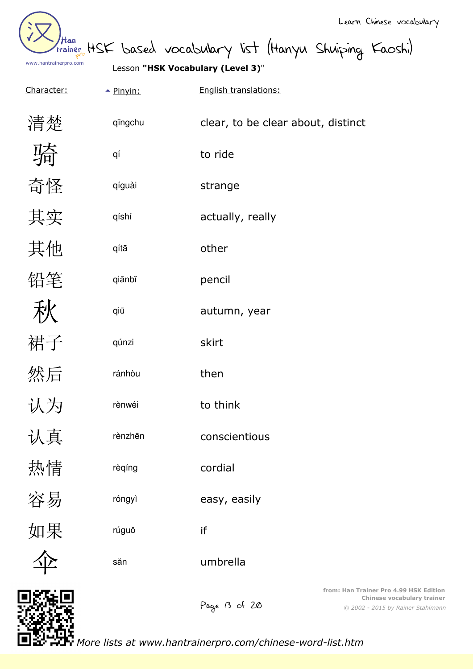| /tan<br>trainer       |  |
|-----------------------|--|
| www.hantrainerpro.com |  |

Lesson **"HSK Vocabulary (Level 3)**"

| Character: | $\triangle$ Pinyin: | English translations:                  |
|------------|---------------------|----------------------------------------|
| 清楚         | qīngchu             | clear, to be clear about, distinct     |
|            | qí                  | to ride                                |
| 奇怪         | qíguài              | strange                                |
| 其实         | qíshí               | actually, really                       |
| 其他         | qítā                | other                                  |
| 铅笔         | qiānbĭ              | pencil                                 |
| 秋          | qiū                 | autumn, year                           |
| 裙子         | qúnzi               | skirt                                  |
| 然后         | ránhòu              | then                                   |
| 认为         | rènwéi              | to think                               |
| 认真         | rènzhēn             | conscientious                          |
| 热情         | rèqíng              | cordial                                |
| 容易         | róngyì              | easy, easily                           |
| 如果         | rúguŏ               | if                                     |
|            | săn                 | umbrella                               |
| הו⊾⊼מה     |                     | from: Han Trainer Pro 4<br>Chinese vor |



Page B of 20

*© 2002 - 2015 by Rainer Stahlmann* **4.99 HSK Edition Cabulary trainer**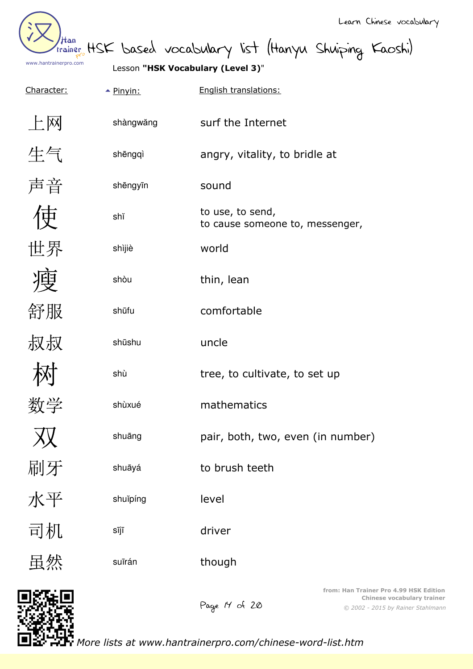Han www.hantrainerpro.com

than HSK based vocabulary list (Hanyu Shuiping Kaoshi)

| Character: | $\triangle$ Pinyin: | English translations:                               |
|------------|---------------------|-----------------------------------------------------|
| 上网         | shàngwăng           | surf the Internet                                   |
| 生气         | shēngqì             | angry, vitality, to bridle at                       |
| 声音         | shēngyīn            | sound                                               |
| 审          | shĭ                 | to use, to send,<br>to cause someone to, messenger, |
| 世界         | shìjiè              | world                                               |
| 瘦          | shòu                | thin, lean                                          |
| 舒服         | shūfu               | comfortable                                         |
| 叔叔         | shūshu              | uncle                                               |
|            | shù                 | tree, to cultivate, to set up                       |
| 数学         | shùxué              | mathematics                                         |
| 双          | shuāng              | pair, both, two, even (in number)                   |
| 刷牙         | shuāyá              | to brush teeth                                      |
| 水平         | shuĭpíng            | level                                               |
| 司机         | sījī                | driver                                              |
| 虽然         | suīrán              | though                                              |
|            |                     | from: Han Trainer Pr                                |



*© 2002 - 2015 by Rainer Stahlmann* **ro 4.99 HSK Edition Chinese vocabulary trainer**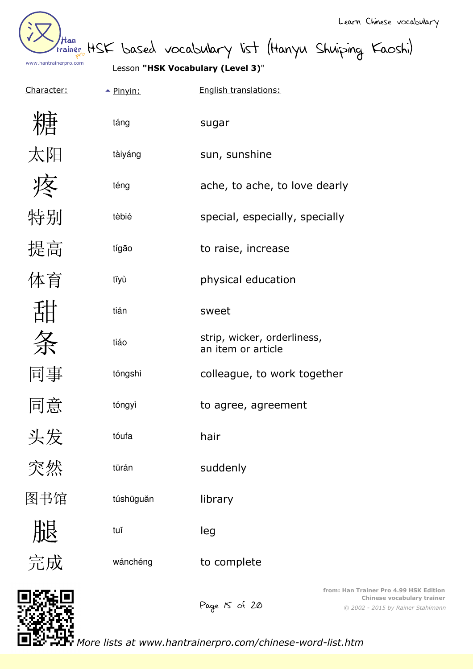

trainer HSK based vocabulary list (Hanyu Shuiping Kaoshi)

| $\triangle$ Pinyin: | English translations: |
|---------------------|-----------------------|
|                     |                       |

|     | táng      | sugar                                             |
|-----|-----------|---------------------------------------------------|
| 太阳  | tàiyáng   | sun, sunshine                                     |
|     | téng      | ache, to ache, to love dearly                     |
| 特别  | tèbié     | special, especially, specially                    |
| 提高  | tígão     | to raise, increase                                |
| 体育  | tĭyù      | physical education                                |
| 甜   | tián      | sweet                                             |
| 条   | tiáo      | strip, wicker, orderliness,<br>an item or article |
| 同事  | tóngshì   | colleague, to work together                       |
| 同意  | tóngyì    | to agree, agreement                               |
| 头发  | tóufa     | hair                                              |
| 突然  | tūrán     | suddenly                                          |
| 图书馆 | túshūguăn | library                                           |
| 服完成 | tuĭ       | leg                                               |
|     | wánchéng  | to complete                                       |

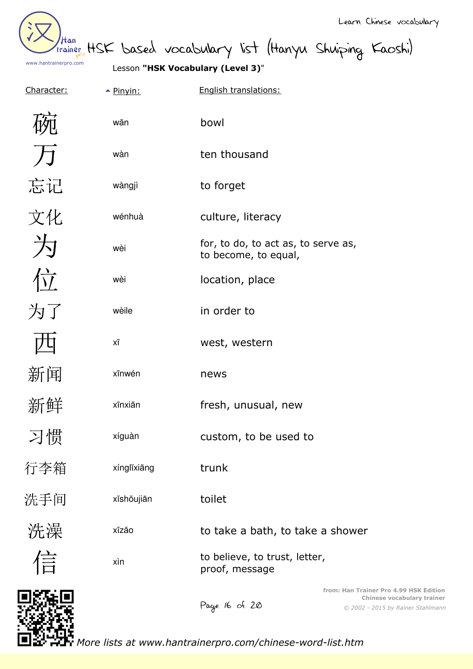Han www.hantrainerpro.com

Lesson **"HSK Vocabulary (Level 3)**"

| Character: | $\triangle$ Pinyin: | English translations:                                                                                                             |
|------------|---------------------|-----------------------------------------------------------------------------------------------------------------------------------|
|            | wăn                 | bowl                                                                                                                              |
| F          | wàn                 | ten thousand                                                                                                                      |
| 忘记         | wàngjì              | to forget                                                                                                                         |
| 文化         | wénhuà              | culture, literacy                                                                                                                 |
| 为          | wèi                 | for, to do, to act as, to serve as,<br>to become, to equal,                                                                       |
| 位          | wèi                 | location, place                                                                                                                   |
| 为了         | wèile               | in order to                                                                                                                       |
|            | хī                  | west, western                                                                                                                     |
| 新闻         | xīnwén              | news                                                                                                                              |
| 新鲜         | xīnxiān             | fresh, unusual, new                                                                                                               |
| 习惯         | xíguàn              | custom, to be used to                                                                                                             |
| 行李箱        | xínglĭxiāng         | trunk                                                                                                                             |
| 洗手间        | xĭshŏujiān          | toilet                                                                                                                            |
| 洗澡         | xĭzăo               | to take a bath, to take a shower                                                                                                  |
| 信          | xìn                 | to believe, to trust, letter,<br>proof, message                                                                                   |
|            |                     | from: Han Trainer Pro 4.99 HSK Edition<br><b>Chinese vocabulary trainer</b><br>Page 16 of 20<br>© 2002 - 2015 by Rainer Stahlmann |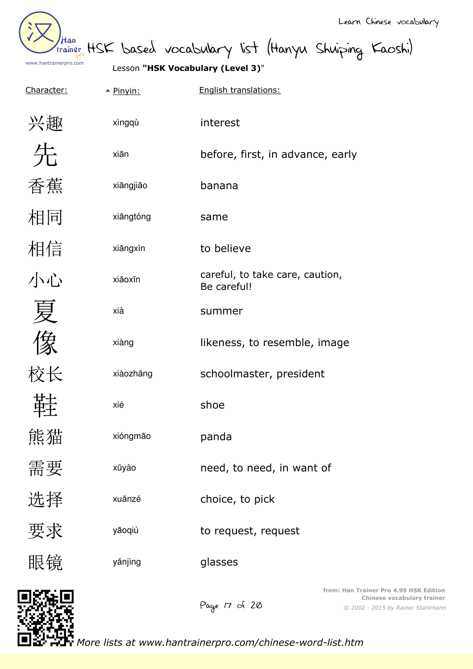|                              |                                   |                                                           | Learn Chinese vocabulary                                                                                         |
|------------------------------|-----------------------------------|-----------------------------------------------------------|------------------------------------------------------------------------------------------------------------------|
| Han<br>www.hantrainerpro.com | Lesson "HSK Vocabulary (Level 3)" | trainer HSK based vocabulary list (Hanyu Shuiping Kaoshi) |                                                                                                                  |
| Character:                   | $\triangle$ Pinyin:               | English translations:                                     |                                                                                                                  |
| 兴趣                           | xìngqù                            | interest                                                  |                                                                                                                  |
|                              | xiān                              | before, first, in advance, early                          |                                                                                                                  |
| 香蕉                           | xiāngjiāo                         | banana                                                    |                                                                                                                  |
| 相同                           | xiāngtóng                         | same                                                      |                                                                                                                  |
| 相信                           | xiāngxìn                          | to believe                                                |                                                                                                                  |
| 小心                           | xiăoxīn                           | careful, to take care, caution,<br>Be careful!            |                                                                                                                  |
|                              | xià                               | summer                                                    |                                                                                                                  |
| 〃マ                           | xiàng                             | likeness, to resemble, image                              |                                                                                                                  |
| 计交                           | xiàozhăng                         | schoolmaster, president                                   |                                                                                                                  |
|                              | xié                               | shoe                                                      |                                                                                                                  |
| 熊猫                           | xióngmão                          | panda                                                     |                                                                                                                  |
| 需要                           | xūyào                             | need, to need, in want of                                 |                                                                                                                  |
| 选择                           | xuănzé                            | choice, to pick                                           |                                                                                                                  |
| 要求                           | yāoqiú                            | to request, request                                       |                                                                                                                  |
| 眼镜                           | yănjìng                           | glasses                                                   |                                                                                                                  |
|                              |                                   | Page 17 of 20                                             | from: Han Trainer Pro 4.99 HSK Edition<br><b>Chinese vocabulary trainer</b><br>© 2002 - 2015 by Rainer Stahlmann |

*More lists at www.hantrainerpro.com/chinese-word-list.htm*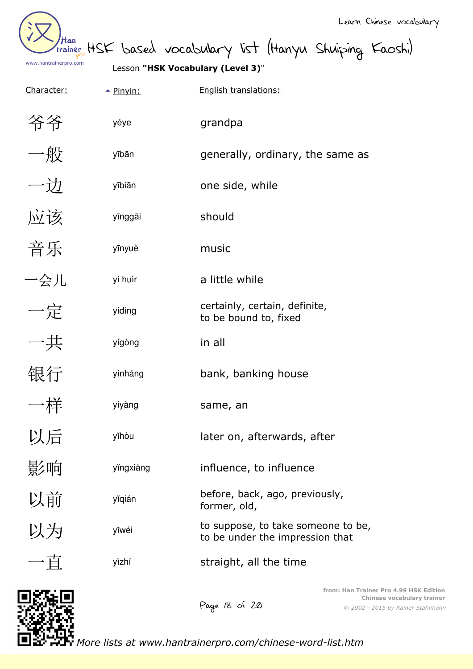| /Han<br>trainer       |  |
|-----------------------|--|
| www.hantrainerpro.com |  |

Lesson **"HSK Vocabulary (Level 3)**"

| Character: | $\triangle$ Pinyin: | English translations:                                                 |
|------------|---------------------|-----------------------------------------------------------------------|
| 爷爷         | yéye                | grandpa                                                               |
| 一般         | yībān               | generally, ordinary, the same as                                      |
| 一边         | yībiān              | one side, while                                                       |
| 应该         | yīnggāi             | should                                                                |
| 音乐         | yīnyuè              | music                                                                 |
| 一会儿        | yí huìr             | a little while                                                        |
| 一定         | yídìng              | certainly, certain, definite,<br>to be bound to, fixed                |
| 一共         | yígòng              | in all                                                                |
| 银行         | yínháng             | bank, banking house                                                   |
| 一样         | yíyàng              | same, an                                                              |
| 以后         | yĭhòu               | later on, afterwards, after                                           |
| 影响         | yĭngxiăng           | influence, to influence                                               |
| 以前         | yĭqián              | before, back, ago, previously,<br>former, old,                        |
| 以为         | yĭwéi               | to suppose, to take someone to be,<br>to be under the impression that |
| 一直         | yìzhí               | straight, all the time                                                |
|            |                     | from: Han Trainer Pro 4.                                              |

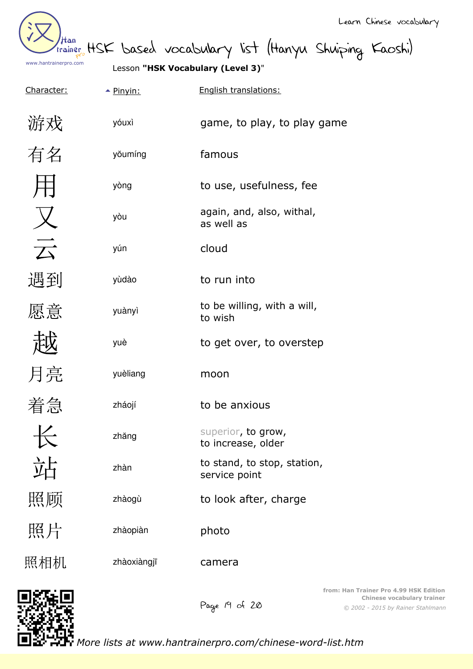

trainer HSK based vocabulary list (Hanyu Shuiping Kaoshi)

Character:  $\rightarrow$  Pinyin: English translations: 游戏 yóuxì game, to play, to play game 有名 y<sub>ŏumíng</sub> famous yòng to use, usefulness, fee again, and, also, withal, yòu as well as  $\overrightarrow{\mathcal{T}}$ yún cloud 遇到 yùdào to run into to be willing, with a will, 愿意 yuànyìto wish yuè to get over, to overstep 月亮 yuèliang moon 着急 zháojí to be anxious  $+\leftarrow$ superior, to grow, zhăng to increase, older 近 to stand, to stop, station, zhàn service point 照顾 zhàogù to look after, charge 照片 zhàopiàn photo 照相机 zhàoxiàngjī camera